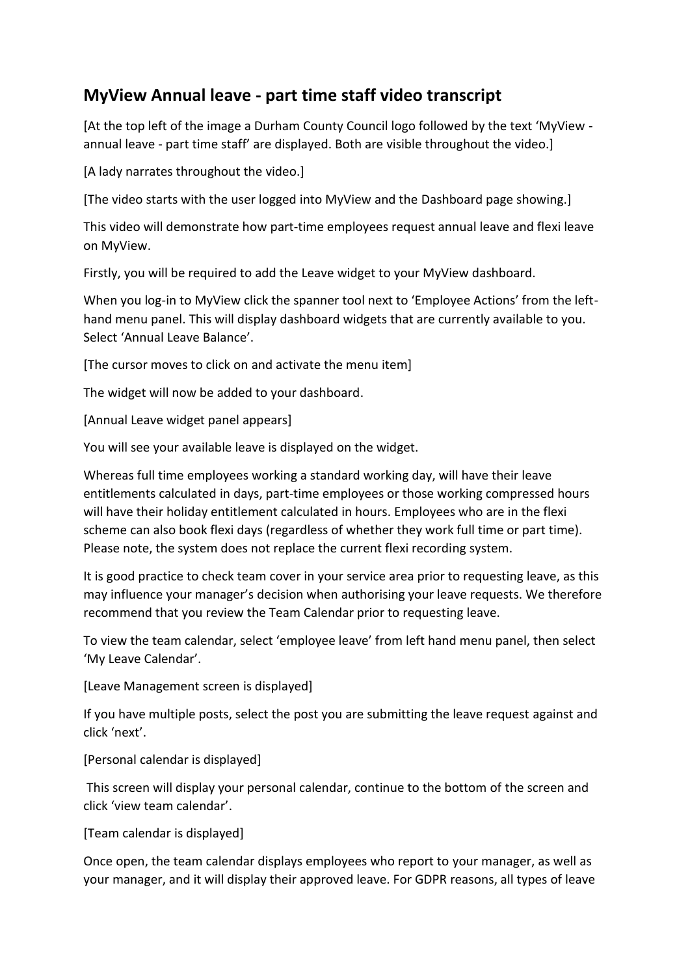## **MyView Annual leave - part time staff video transcript**

[At the top left of the image a Durham County Council logo followed by the text 'MyView annual leave - part time staff' are displayed. Both are visible throughout the video.]

[A lady narrates throughout the video.]

[The video starts with the user logged into MyView and the Dashboard page showing.]

This video will demonstrate how part-time employees request annual leave and flexi leave on MyView.

Firstly, you will be required to add the Leave widget to your MyView dashboard.

When you log-in to MyView click the spanner tool next to 'Employee Actions' from the lefthand menu panel. This will display dashboard widgets that are currently available to you. Select 'Annual Leave Balance'.

[The cursor moves to click on and activate the menu item]

The widget will now be added to your dashboard.

[Annual Leave widget panel appears]

You will see your available leave is displayed on the widget.

Whereas full time employees working a standard working day, will have their leave entitlements calculated in days, part-time employees or those working compressed hours will have their holiday entitlement calculated in hours. Employees who are in the flexi scheme can also book flexi days (regardless of whether they work full time or part time). Please note, the system does not replace the current flexi recording system.

It is good practice to check team cover in your service area prior to requesting leave, as this may influence your manager's decision when authorising your leave requests. We therefore recommend that you review the Team Calendar prior to requesting leave.

To view the team calendar, select 'employee leave' from left hand menu panel, then select 'My Leave Calendar'.

[Leave Management screen is displayed]

If you have multiple posts, select the post you are submitting the leave request against and click 'next'.

[Personal calendar is displayed]

This screen will display your personal calendar, continue to the bottom of the screen and click 'view team calendar'.

[Team calendar is displayed]

Once open, the team calendar displays employees who report to your manager, as well as your manager, and it will display their approved leave. For GDPR reasons, all types of leave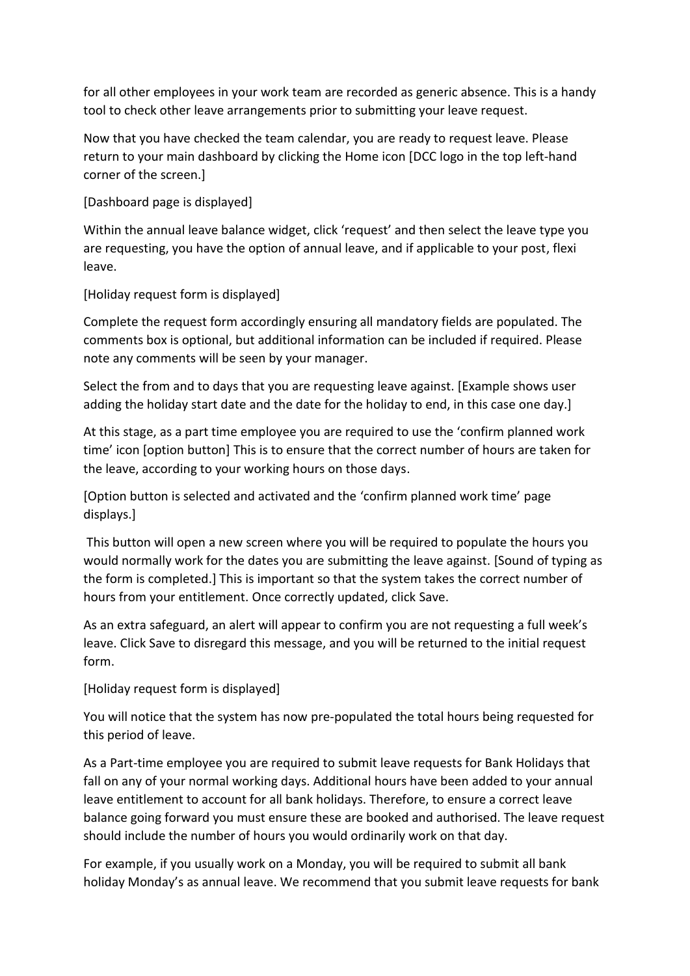for all other employees in your work team are recorded as generic absence. This is a handy tool to check other leave arrangements prior to submitting your leave request.

Now that you have checked the team calendar, you are ready to request leave. Please return to your main dashboard by clicking the Home icon [DCC logo in the top left-hand corner of the screen.]

[Dashboard page is displayed]

Within the annual leave balance widget, click 'request' and then select the leave type you are requesting, you have the option of annual leave, and if applicable to your post, flexi leave.

[Holiday request form is displayed]

Complete the request form accordingly ensuring all mandatory fields are populated. The comments box is optional, but additional information can be included if required. Please note any comments will be seen by your manager.

Select the from and to days that you are requesting leave against. [Example shows user adding the holiday start date and the date for the holiday to end, in this case one day.]

At this stage, as a part time employee you are required to use the 'confirm planned work time' icon [option button] This is to ensure that the correct number of hours are taken for the leave, according to your working hours on those days.

[Option button is selected and activated and the 'confirm planned work time' page displays.]

This button will open a new screen where you will be required to populate the hours you would normally work for the dates you are submitting the leave against. [Sound of typing as the form is completed.] This is important so that the system takes the correct number of hours from your entitlement. Once correctly updated, click Save.

As an extra safeguard, an alert will appear to confirm you are not requesting a full week's leave. Click Save to disregard this message, and you will be returned to the initial request form.

[Holiday request form is displayed]

You will notice that the system has now pre-populated the total hours being requested for this period of leave.

As a Part-time employee you are required to submit leave requests for Bank Holidays that fall on any of your normal working days. Additional hours have been added to your annual leave entitlement to account for all bank holidays. Therefore, to ensure a correct leave balance going forward you must ensure these are booked and authorised. The leave request should include the number of hours you would ordinarily work on that day.

For example, if you usually work on a Monday, you will be required to submit all bank holiday Monday's as annual leave. We recommend that you submit leave requests for bank